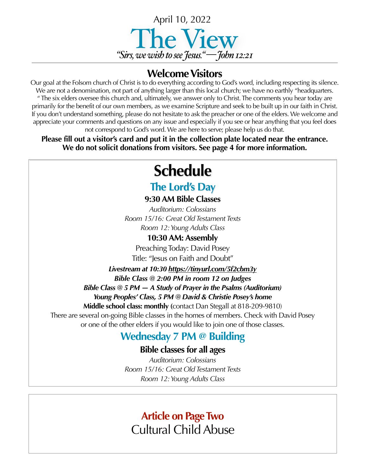

### **Welcome Visitors**

Our goal at the Folsom church of Christ is to do everything according to God's word, including respecting its silence. We are not a denomination, not part of anything larger than this local church; we have no earthly "headquarters. " The six elders oversee this church and, ultimately, we answer only to Christ. The comments you hear today are primarily for the benefit of our own members, as we examine Scripture and seek to be built up in our faith in Christ. If you don't understand something, please do not hesitate to ask the preacher or one of the elders. We welcome and appreciate your comments and questions on any issue and especially if you see or hear anything that you feel does not correspond to God's word. We are here to serve; please help us do that.

**Please fill out a visitor's card and put it in the collection plate located near the entrance. We do not solicit donations from visitors. See page 4 for more information.**

## **Schedule**

## **The Lord's Day**

**9:30 AM Bible Classes**

*Auditorium: Colossians Room 15/16: Great Old Testament Texts Room 12: Young Adults Class*

#### **10:30 AM: Assembly**

Preaching Today: David Posey Title: "Iesus on Faith and Doubt"

*Livestream at 10:30 <https://tinyurl.com/5f2cbm3y> Bible Class @ 2:00 PM in room 12 on Judges Bible Class @ 5 PM — A Study of Prayer in the Psalms (Auditorium) Young Peoples' Class, 5 PM @ David & Christie Posey's home* 

**Middle school class: monthly (**contact Dan Stegall at 818-209-9810)

There are several on-going Bible classes in the homes of members. Check with David Posey or one of the other elders if you would like to join one of those classes.

## **Wednesday 7 PM @ Building**

**Bible classes for all ages**

*Auditorium: Colossians Room 15/16: Great Old Testament Texts Room 12: Young Adults Class*

## **Article on Page Two** Cultural Child Abuse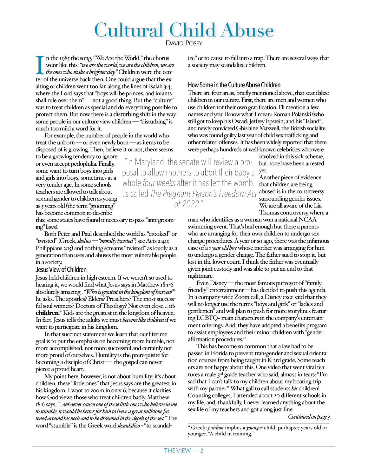# Cultural Child Abuse

DAVID POSEY

In the 1985 the song, "We Are the World," the chorus went like this: "we are the world, we are the children, we are the ones who make a brighter day." Children were the center of the universe back then. One could argue tha n the 1985 the song, "We Are the World," the chorus went like this: *"we are the world, we are the children, we are the ones who make a brighter day."* Children were the cenalting of children went too far, along the lines of Isaiah 3:4, where the Lord says that "boys will be princes, and infants shall rule over them" — not a good thing. But the "culture" was to treat children as special and do everything possible to protect them. But now there is a disturbing shift in the way some people in our culture view children — "disturbing" is much too mild a word for it.

For example, the number of people in the world who treat the unborn — or even newly born — as items to be disposed of is growing. Then, believe it or not, there seems

to be a growing tendency to ignore or even accept pedophilia. Finally, some want to turn boys into girls and girls into boys, sometimes at a very tender age. In some schools teachers are allowed to talk about sex and gender to children as young as 5 years old (the term "grooming" has become common to describe

this; some states have found it necessary to pass "anti-grooming" laws).

Both Peter and Paul described the world as "crooked" or "twisted" (Greek, *skolios — "morally twisted"*; see Acts 2:40; Philippians 2:15) and nothing screams "twisted" as loudly as a generation than uses and abuses the most vulnerable people in a society.

#### Jesus View of Children

Jesus held children in high esteem. If we weren't so used to hearing it, we would find what Jesus says in Matthew 18:1-6 absolutely amazing . *"Who is greatest in the kingdom of heaven?"* he asks. The apostles? Elders? Preachers? The most successful soul winners? Doctors of Theology? Not even close… it's children.\* Kids are the greatest in the kingdom of heaven. In fact, Jesus tells the adults we must *become like children* if we want to participate in his kingdom.

In that succinct statement we learn that our lifetime goal is to put the emphasis on becoming more humble, not more accomplished, not more successful and certainly not more proud of ourselves. Humility is the prerequisite for becoming a disciple of Christ — the gospel can never pierce a proud heart.

My point here, however, is not about humility; it's about children, these "little ones" that Jesus says are the greatest in his kingdom. I want to zoom in on v. 6, because it clarifies how God views those who treat children badly. Matthew 18:6 says, *"…whoever causes one of these little ones who believe in me to stumble, it would be better for him to have a great millstone fastened around his neck and to be drowned in the depth of the sea."* The word "stumble" is the Greek word *skandalízō* - "to scandalize" or to cause to fall into a trap. There are several ways that a society may scandalize children.

#### How Some in the Culture Abuse Children

There are four areas, briefly mentioned above, that scandalize children in our culture. First, there are men and women who use children for their own gratification. I'll mention a few names and you'll know what I mean: Roman Polanski (who still got to keep his Oscar); Jeffrey Epstein, and his "Island"; and newly convicted Ghislaine Maxwell, the British socialite who was found guilty last year of child sex trafficking and other related offenses. It has been widely reported that there were perhaps hundreds of well-known celebrities who were

whole *four weeks* after it has left the womb. **that children are being** "In Maryland, the senate will review a proposal to allow mothers to abort their baby a It's called *The Pregnant Person's Freedom Act of 2022."*

involved in this sick scheme, but none have been arrested yet.

Another piece of evidence abused is in the controversy surrounding gender issues. We are all aware of the Lia Thomas controversy, where a

man who identifies as a woman won a national NCAA swimming event. That's bad enough but there a parents who are arranging for their own children to undergo sex change procedures. A year or so ago, there was the infamous case of a *7 year old boy* whose mother was arranging for him to undergo a gender change*.* The father sued to stop it, but lost in the lower court. I think the father was eventually given joint custody and was able to put an end to that nightmare.

Even Disney — the most famous purveyor of "family friendly" entertainment— has decided to push this agenda. In a company-wide Zoom call, a Disney exec said that they will no longer use the terms "boys and girls" or "ladies and gentlemen" and will plan to push for more storylines featuring LGBTQ+ main characters in the company's entertainment offerings. And, they have adopted a benefits program to assist employees and their minor children with "gender affirmation procedures."

This has become so common that a law had to be passed in Florida to prevent transgender and sexual orientation courses from being taught in K-3rd grade. Some teachers are not happy about this. One video that went viral features a male 3rd grade teacher who said, almost in tears: "I'm sad that I can't talk to my children about my boating trip with my partner." What gall to call students *his* children! Counting colleges, I attended about 20 different schools in my life, and, thankfully, I never learned anything about the sex life of my teachers and got along just fine.

*Continued on page 3*

*<sup>\*</sup>* Greek: *paidion* implies a *younger* child, perhaps 7 years old or younger. "A child in training."